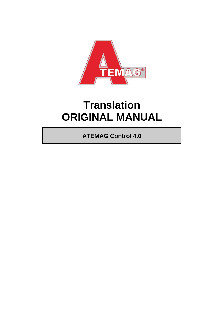

# **Translation ORIGINAL MANUAL**

**ATEMAG Control 4.0**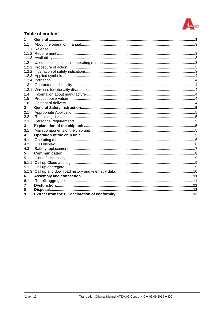

# **Table of content**

| 1.1   |  |
|-------|--|
| 111   |  |
|       |  |
|       |  |
| 1.2   |  |
|       |  |
|       |  |
|       |  |
|       |  |
| 1.3   |  |
| 1.3.1 |  |
| 1.4   |  |
| 1.5   |  |
| 1.6   |  |
| 2     |  |
| 2.1   |  |
| 2.2   |  |
| 2.3   |  |
| 3     |  |
| 3.1   |  |
| 4     |  |
| 4.1   |  |
| 4.2   |  |
| 4.3   |  |
| 5     |  |
| 5.1   |  |
| 5.1.1 |  |
|       |  |
|       |  |
| 6     |  |
| 6.1   |  |
|       |  |
| 8     |  |
| 9     |  |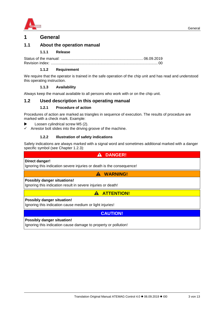

# <span id="page-2-0"></span>**1 General**

## <span id="page-2-2"></span><span id="page-2-1"></span>**1.1 About the operation manual**

#### **1.1.1 Release**

Status of the manual: ............................................................................... 06.09.2019 Revision index: ....................................................................................................... 00

#### **1.1.2 Requirement**

<span id="page-2-3"></span>We require that the operator is trained in the safe operation of the chip unit and has read and understood this operating instruction.

#### **1.1.3 Availability**

<span id="page-2-4"></span>Always keep the manual available to all persons who work with or on the chip unit.

#### <span id="page-2-6"></span><span id="page-2-5"></span>**1.2 Used description in this operating manual**

#### **1.2.1 Procedure of action**

Procedures of action are marked as triangles in sequence of execution. The results of procedure are marked with a check mark. Example:

- Loosen cylindrical screw M5 (2).
- Arrestor bolt slides into the driving groove of the machine.

#### **1.2.2 Illustration of safety indications**

<span id="page-2-7"></span>Safety indications are always marked with a signal word and sometimes additional marked with a danger specific symbol (see Chapter [1.2.3\)](#page-3-0):

 $\blacktriangle$ 

# **Direct danger!**

Ignoring this indication severe injuries or death is the consequence!

 **WARNING!**

 **DANGER!**

#### **Possibly danger situations!**

Ignoring this indication result in severe injuries or death!

**A ATTENTION!** 

#### **Possibly danger situation!**

Ignoring this indication cause medium or light injuries!

**CAUTION!**

#### **Possibly danger situation!**

Ignoring this indication cause damage to property or pollution!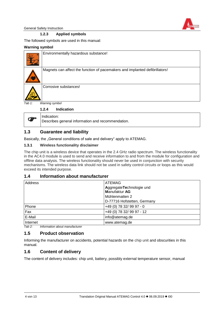

<span id="page-3-0"></span>General Safety Instruction

#### **1.2.3 Applied symbols**

The followed symbols are used in this manual:

#### **Warning symbol**

<span id="page-3-1"></span>ශ

|           | Environmentally hazardous substance!                                        |
|-----------|-----------------------------------------------------------------------------|
|           | Magnets can affect the function of pacemakers and implanted defibrillators! |
|           | Corrosive substances!                                                       |
| Tab $1$ : | Warning symbol                                                              |
|           | <b>Indication</b><br>1.2.4                                                  |
|           | Indication:                                                                 |

## <span id="page-3-2"></span>**1.3 Guarantee and liability**

Basically, the "General conditions of sale and delivery" apply to ATEMAG.

Describes general information and recommendation.

#### <span id="page-3-3"></span>**1.3.1 Wireless functionality disclaimer**

The chip unit is a wireless device that operates in the 2.4 GHz radio spectrum. The wireless functionality in the AC4.0 module is used to send and receive information to and from the module for configuration and offline data analysis. The wireless functionality should never be used in conjunction with security mechanisms. The wireless data link should not be used in safety control circuits or loops as this would exceed its intended purpose.

#### <span id="page-3-4"></span>**1.4 Information about manufacturer**

| Address  | <b>ATEMAG</b><br>AggregateTechnologie und<br><b>Manufaktur AG</b><br>Mühlenmatten 2<br>D-77716 Hofstetten, Germany |  |
|----------|--------------------------------------------------------------------------------------------------------------------|--|
| Phone    | +49 (0) 78 32/ 99 97 - 0                                                                                           |  |
| Fax      | +49 (0) 78 32/ 99 97 - 12                                                                                          |  |
| E-Mail   | info@atemag.de                                                                                                     |  |
| Internet | www.atemag.de                                                                                                      |  |

*Tab 2: Information about manufacturer*

#### <span id="page-3-5"></span>**1.5 Product observation**

Informing the manufacturer on accidents, potential hazards on the chip unit and obscurities in this manual.

## <span id="page-3-6"></span>**1.6 Content of delivery**

The content of delivery includes: chip unit, battery, possibly external temperature sensor, manual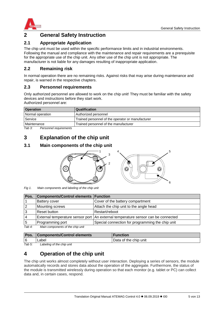

# <span id="page-4-0"></span>**2 General Safety Instruction**

# <span id="page-4-1"></span>**2.1 Appropriate Application**

The chip unit must be used within the specific performance limits and in industrial environments. Following the manual and compliance with the maintenance and repair requirements are a prerequisite for the appropriate use of the chip unit. Any other use of the chip unit is not appropriate. The manufacturer is not liable for any damages resulting of inappropriate application.

## <span id="page-4-2"></span>**2.2 Remaining risk**

In normal operation there are no remaining risks. Against risks that may arise during maintenance and repair, is warned in the respective chapters.

## <span id="page-4-3"></span>**2.3 Personnel requirements**

Only authorized personnel are allowed to work on the chip unit! They must be familiar with the safety devices and instructions before they start work.

Authorized personnel are:

| <b>Operation</b> | Qualification                                     |
|------------------|---------------------------------------------------|
| Normal operation | Authorized personnel                              |
| Service          | Trained personnel of the operator or manufacturer |
| Maintenance      | Trained personnel of the manufacturer             |

*Tab 3: Personnel requirements*

# <span id="page-4-4"></span>**3 Explanation of the chip unit**

## <span id="page-4-5"></span>**3.1 Main components of the chip unit**





*Fig 1. Main components and labeling of the chip unit*

| Pos.   | Components/Control elements   Function |                                                                                  |
|--------|----------------------------------------|----------------------------------------------------------------------------------|
|        | <b>Battery cover</b>                   | Cover of the battery compartment                                                 |
|        | <b>Mounting screws</b>                 | Attach the chip unit to the angle head                                           |
| 3      | <b>Reset button</b>                    | Restart/reboot                                                                   |
|        |                                        | External temperature sensor port An external temperature sensor can be connected |
| 5      | Programming port                       | Special connection for programming the chip unit                                 |
| Tab 4: | Main components of the chip unit       |                                                                                  |

*Tab 4: Main components of the chip unit*

| Pos. | <b>Components/Control elements</b> | <b>Function</b>       |
|------|------------------------------------|-----------------------|
| ۱6   | _abel                              | Data of the chip unit |

*Tab 5: Labeling of the chip unit*

# <span id="page-4-6"></span>**4 Operation of the chip unit**

The chip unit works almost completely without user interaction. Deploying a series of sensors, the module automatically records and stores data about the operation of the aggregate. Furthermore, the status of the module is transmitted wirelessly during operation so that each monitor (e.g. tablet or PC) can collect data and, in certain cases, respond.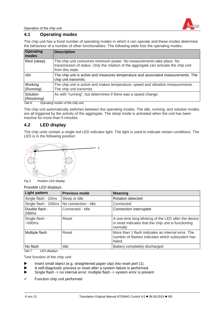

Operation of the chip unit

# <span id="page-5-0"></span>**4.1 Operating modes**

The chip unit has a fixed number of operating modes in which it can operate and these modes determine the behaviour of a number of other functionalities. The following table lists the operating modes:

| <b>Operating</b><br>modes | <b>Description</b>                                                                                                                                                                |
|---------------------------|-----------------------------------------------------------------------------------------------------------------------------------------------------------------------------------|
| Rest (sleep)              | The chip unit consumes minimum power. No measurements take place. No<br>transmission of status. Only the rotation of the aggregate can activate the chip unit<br>from this state. |
| Idle                      | The chip unit is active and measures temperature and associated measurements. The<br>chip unit transmits.                                                                         |
| Working<br>(Running)      | The chip unit is active and makes temperature, speed and vibration measurements.<br>The chip unit transmits.                                                                      |
| Solution<br>(Resolving)   | As with "running", but determines if there was a speed change.                                                                                                                    |

*Tab 6: Operating modes of the chip unit*

The chip unit automatically switches between the operating modes. The idle, running, and solution modes are all triggered by the activity of the aggregate. The sleep mode is activated when the unit has been inactive for more than 5 minutes.

## <span id="page-5-1"></span>**4.2 LED display**

The chip units contain a single red LED indicator light. The light is used to indicate certain conditions. The LED is in the following position:



*Fig 2. Position LED display*

Possible LED displays:

| Light pattern                       | <b>Previous mode</b> | <b>Meaning</b>                                                                                                           |
|-------------------------------------|----------------------|--------------------------------------------------------------------------------------------------------------------------|
| Single flash - 10ms                 | Sleep or idle        | <b>Rotation detected</b>                                                                                                 |
| Single flash - 100ms                | No connection - idle | Connected                                                                                                                |
| Double flash -<br>200 <sub>ms</sub> | Connected - Idle     | Connection interrupted                                                                                                   |
| Single flash -<br>~500ms            | Reset                | A one-time long blinking of the LED after the device<br>is reset indicates that the chip unit is functioning<br>normally |
| Multiple flash                      | Reset                | More than 1 flash indicates an internal error. The<br>number of flashes indicates which subsystem has<br>failed.         |
| No flash<br>$\cdots$                | Idle                 | Battery completely discharged                                                                                            |

*Tab 7: LED displays*

Test function of the chip unit:

- Insert small object (e.g. straightened paper clip) into reset port (1).
- A self-diagnostic process or reset after a system failure is performed.
- Single flash -> no internal error; multiple flash -> system error is present
- $\checkmark$  Function chip unit performed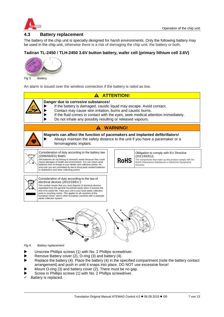

## <span id="page-6-0"></span>**4.3 Battery replacement**

The battery of the chip unit is specially designed for harsh environments. Only the following battery may be used in the chip unit, otherwise there is a risk of damaging the chip unit, the battery or both.

## **Tadiran TL-2450 / TLH-2450 3.6V button battery, wafer cell (primary lithium cell 3.6V)**



*Fig 3. Battery*

An alarm is issued over the wireless connection if the battery is rated as low.



- arrangement) and push in until it snaps into place. DO NOT use excessive force!
- Mount O-ring (3) and battery cover (2). There must be no gap. Screw in Phillips screws (1) with No. 2 Phillips screwdriver.
- Battery is replaced.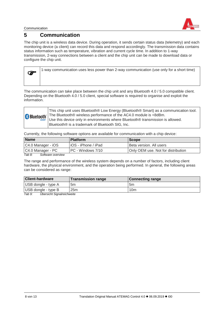Communication



# <span id="page-7-0"></span>**5 Communication**

The chip unit is a wireless data device. During operation, it sends certain status data (telemetry) and each monitoring device (a client) can record this data and respond accordingly. The transmission data contains status information such as temperature, vibration and current cycle time. In addition to 1-way transmission, 2-way connections between a client and the chip unit can be made to download data or configure the chip unit.

| G | 1-way communication uses less power than 2-way communication (use only for a short time) |
|---|------------------------------------------------------------------------------------------|
|   |                                                                                          |

The communication can take place between the chip unit and any Bluetooth 4.0 / 5.0 compatible client. Depending on the Bluetooth 4.0 / 5.0 client, special software is required to organise and exploit the information.

| This chip unit uses Bluetooth® Low Energy (Bluetooth® Smart) as a communication tool.<br><b>Bluetooth</b>   The Bluetooth <sup>®</sup> wireless performance of the AC4.0 module is <8dBm. |
|-------------------------------------------------------------------------------------------------------------------------------------------------------------------------------------------|
| SMART Use this device only in environments where Bluetooth® transmission is allowed.<br>Bluetooth® is a trademark of Bluetooth SIG, Inc.                                                  |

Currently, the following software options are available for communication with a chip device:

| <b>Name</b>        | <b>Platform</b>      | <b>Scope</b>                       |
|--------------------|----------------------|------------------------------------|
| C4.0 Manager - iOS | liOS - iPhone / iPad | Beta version. All users            |
| C4.0 Manager - PC  | I PC - Windows 7/10  | Only OEM use. Not for distribution |

*Tab 8: Software overview*

The range and performance of the wireless system depends on a number of factors, including client hardware, the physical environment, and the operation being performed. In general, the following areas can be considered as range:

| <b>Client-hardware</b>                                           | <b>Transmission range</b> | <b>Connecting range</b> |
|------------------------------------------------------------------|---------------------------|-------------------------|
| USB dongle - type A                                              | 5 <sub>m</sub>            | 5m                      |
| USB dongle - type B                                              | 25m                       | 10m                     |
| $T - L$ $\Omega$ .<br>الملاحيين والملماء ومسارح فمالملمس وبالراز |                           |                         |

*Tab 9: Übersicht Signalreichweite*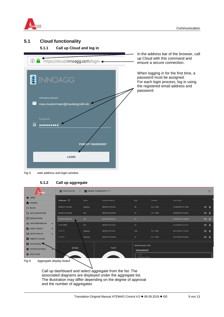

## <span id="page-8-1"></span><span id="page-8-0"></span>**5.1 Cloud functionality**

#### **5.1.1 Call up Cloud and log in**



In the address bar of the browser, call up Cloud with this command and ensure a secure connection.

When logging in for the first time, a password must be assigned. For each login process, log in using the registered email address and password.

#### *Fig 5. web address and login window*

#### **5.1.2 Call up aggregate**

<span id="page-8-2"></span>

| TEMAG                               |              | <b>L</b> Dashboards<br>$\rightarrow$ | Device Dashboard v1.1 |                         |                              |            |                     |                     | $\mathbb{Z}^2$ |
|-------------------------------------|--------------|--------------------------------------|-----------------------|-------------------------|------------------------------|------------|---------------------|---------------------|----------------|
| <b>A</b> HOME<br>PLUGINS            |              | Entity name 个                        | <b>Status</b>         | <b>Hardware Address</b> | <b>RSSI</b>                  | Firmware   | <b>Last Contact</b> |                     |                |
| $\langle \cdot \cdot \rangle$ RULES |              | 00:0B:57:15:C5:52                    | Sleeping              | 00:0B:57:15:C5:52       | $-48$                        | 3.2.1.1524 | 07/30/2018 13:14:30 | $\bullet$ $\bullet$ |                |
| <b>L DATA CONVERTERS</b>            |              | 00:0B:57:BE:6D:88                    | Idle                  | 00:0B:57:BE:6D:88       | $-62$                        | 3.2.1.1482 | 06/08/2018 16:20:52 | $\bullet$ $\bullet$ |                |
| $\boxed{\rightarrow}$ INTEGRATIONS  |              | 00:08:57:BE:6D:CB                    | Idle                  | 00:0B:57:BE:6D:CB       | $-49$                        |            | 02/23/2018 14:55:08 | $\bullet$ $\bullet$ |                |
| CUSTOMER GROUPS                     | $\checkmark$ | F-08148R3U                           | Idle                  | 00:0B:57:15:C5:5D       | $-91$                        |            | 07/24/2018 12:27:27 | $\bullet$ $\bullet$ |                |
| <b>ED ASSET GROUPS</b>              | $\checkmark$ | F-10171                              | Sleeping              | 00:0B:57:15:C5:61       | $-100$                       | 3.2.1.1401 | 08/14/2018 21:44:56 | $\bullet$           |                |
| <b>LOD</b> DEVICE GROUPS            | $\checkmark$ | F-11210                              | Sleeping              | 00:0B:57:15:A0:D8       | $-91$                        | 3.2.1.1482 | 08/15/2018 04:30:02 |                     |                |
| WIDGETS LIBRARY                     |              |                                      |                       |                         |                              |            |                     | $\bullet$ $\bullet$ |                |
| <b>DASHBOARDS</b>                   |              |                                      |                       |                         | Maintenance Info             |            |                     |                     |                |
| SYSTEM SETTINGS                     |              | <b>SPEED</b>                         |                       | <b>TEMP</b>             | <b>Unresolved</b>            |            |                     |                     |                |
| <b>W</b> AUDIT LOGS                 |              |                                      |                       |                         | Duty<br><b>Battery Level</b> |            |                     |                     |                |
| Fig 6.<br>Aggregate display board   |              |                                      |                       |                         |                              |            |                     |                     |                |

Call up dashboard and select aggregate from the list. The associated diagrams are displayed under the aggregate list. The illustration may differ depending on the degree of approval and the number of aggregates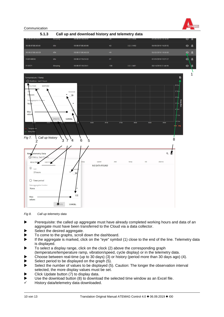

Communication

<span id="page-9-0"></span>

*Fig 8. Call up telemetry data*

- Prerequisite: the called up aggregate must have already completed working hours and data of an aggregate must have been transferred to the Cloud via a data collector.
- Select the desired aggregate.
- To come to the graphs, scroll down the dashboard.
- If the aggregate is marked, click on the "eye" symbol (1) close to the end of the line. Telemetry data is displayed.
- To select a display range, click on the clock (2) above the corresponding graph (temperature/temperature ramp, vibration/speed, cycle display) or in the telemetry data.
- Choose between real-time (up to 30 days) (3) or history (period more than 30 days ago) (4).
- Select period to be displayed on the graph  $(5)$ .
- Select the number of values to be displayed (5). Caution: The longer the observation interval selected, the more display values must be set.
- Click Update button (7) to display data.
- Use the download button (8) to download the selected time window as an Excel file.
- History data/telemetry data downloaded.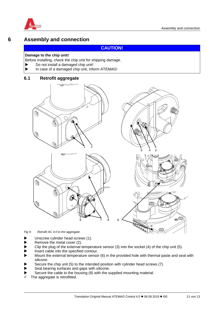<span id="page-10-0"></span>

# **6 Assembly and connection**

## **CAUTION!**

#### **Damage to the chip unit!**

Before installing, check the chip unit for shipping damage.

- Do not install a damaged chip unit!
- In case of a damaged chip unit, inform ATEMAG!

## <span id="page-10-1"></span>**6.1 Retrofit aggregate**



*Fig 9. Retrofit AC 4.0 to the aggregate*

- Unscrew cylinder head screws (1).
- Remove the metal cover (2).
- Clip the plug of the external temperature sensor (3) into the socket (4) of the chip unit (5).
- Insert cable into the specified contour.
- Mount the external temperature sensor (6) in the provided hole with thermal paste and seal with silicone.
- Secure the chip unit (5) to the intended position with cylinder head screws (7).
- Seal bearing surfaces and gaps with silicone.
- Secure the cable to the housing (8) with the supplied mounting material.
- The aggregate is retrofitted.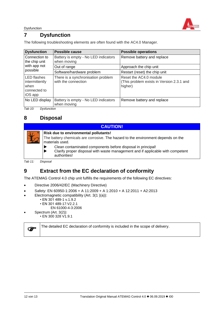

Dysfunction

# <span id="page-11-0"></span>**7 Dysfunction**

The following troubleshooting elements are often found with the AC4.0 Manager.

| <b>Dysfunction</b>                                                      | <b>Possible cause</b>                                     | <b>Possible operations</b>                                                     |
|-------------------------------------------------------------------------|-----------------------------------------------------------|--------------------------------------------------------------------------------|
| Connection to<br>the chip unit<br>with app not<br>possible              | Battery is empty - No LED indicators<br>when moving       | Remove battery and replace                                                     |
|                                                                         | Out of range                                              | Approach the chip unit                                                         |
|                                                                         | Software/hardware problem                                 | Restart (reset) the chip unit                                                  |
| <b>LED</b> flashes<br>intermittently<br>when<br>connected to<br>iOS app | There is a synchronisation problem<br>with the connection | Reset the AC4.0 module<br>(This problem exists in Version 2.3.1 and<br>higher) |
| No LED display<br>_                                                     | Battery is empty - No LED indicators<br>when moving       | Remove battery and replace                                                     |

*Tab 10: Dysfunction*

# <span id="page-11-1"></span>**8 Disposal**

#### **CAUTION!**

| <b>Risk due to environmental pollutants!</b><br>The battery chemicals are corrosive. The hazard to the environment depends on the<br>materials used.          |  |  |  |
|---------------------------------------------------------------------------------------------------------------------------------------------------------------|--|--|--|
| Clean contaminated components before disposal in principal!<br>Clarify proper disposal with waste management and if applicable with competent<br>authorities! |  |  |  |

*Tab 11: Disposal*

# <span id="page-11-2"></span>**9 Extract from the EC declaration of conformity**

The ATEMAG Control 4.0 chip unit fulfills the requirements of the following EC directives:

- Directive 2006/42/EC (Machinery Directive)
- Safety: EN 60950-1:2006 + A 11:2009 + A 1:2010 + A 12:2011 + A2:2013
- Electromagnetic compatibility (Art. 3(1 )(a)):
	- EN 301 489-1 v.1.9.2
	- EN 301 489-17:V2.2.1
		- EN 61000-4-3:2006
- Spectrum (Art. 3(2)):
- EN 300 328 V1.9.1

The detailed EC declaration of conformity is included in the scope of delivery.

**P**